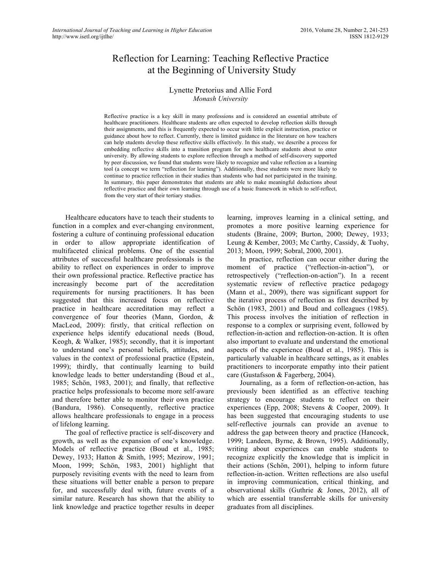# Reflection for Learning: Teaching Reflective Practice at the Beginning of University Study

## Lynette Pretorius and Allie Ford *Monash University*

Reflective practice is a key skill in many professions and is considered an essential attribute of healthcare practitioners. Healthcare students are often expected to develop reflection skills through their assignments, and this is frequently expected to occur with little explicit instruction, practice or guidance about how to reflect. Currently, there is limited guidance in the literature on how teachers can help students develop these reflective skills effectively. In this study, we describe a process for embedding reflective skills into a transition program for new healthcare students about to enter university. By allowing students to explore reflection through a method of self-discovery supported by peer discussion, we found that students were likely to recognize and value reflection as a learning tool (a concept we term "reflection for learning"). Additionally, these students were more likely to continue to practice reflection in their studies than students who had not participated in the training. In summary, this paper demonstrates that students are able to make meaningful deductions about reflective practice and their own learning through use of a basic framework in which to self-reflect, from the very start of their tertiary studies.

Healthcare educators have to teach their students to function in a complex and ever-changing environment, fostering a culture of continuing professional education in order to allow appropriate identification of multifaceted clinical problems. One of the essential attributes of successful healthcare professionals is the ability to reflect on experiences in order to improve their own professional practice. Reflective practice has increasingly become part of the accreditation requirements for nursing practitioners. It has been suggested that this increased focus on reflective practice in healthcare accreditation may reflect a convergence of four theories (Mann, Gordon, & MacLeod, 2009): firstly, that critical reflection on experience helps identify educational needs (Boud, Keogh, & Walker, 1985); secondly, that it is important to understand one's personal beliefs, attitudes, and values in the context of professional practice (Epstein, 1999); thirdly, that continually learning to build knowledge leads to better understanding (Boud et al., 1985; Schön, 1983, 2001); and finally, that reflective practice helps professionals to become more self-aware and therefore better able to monitor their own practice (Bandura, 1986). Consequently, reflective practice allows healthcare professionals to engage in a process of lifelong learning.

The goal of reflective practice is self-discovery and growth, as well as the expansion of one's knowledge. Models of reflective practice (Boud et al., 1985; Dewey, 1933; Hatton & Smith, 1995; Mezirow, 1991; Moon, 1999; Schön, 1983, 2001) highlight that purposely revisiting events with the need to learn from these situations will better enable a person to prepare for, and successfully deal with, future events of a similar nature. Research has shown that the ability to link knowledge and practice together results in deeper learning, improves learning in a clinical setting, and promotes a more positive learning experience for students (Braine, 2009; Burton, 2000; Dewey, 1933; Leung & Kember, 2003; Mc Carthy, Cassidy, & Tuohy, 2013; Moon, 1999; Sobral, 2000, 2001).

In practice, reflection can occur either during the moment of practice ("reflection-in-action"), or retrospectively ("reflection-on-action"). In a recent systematic review of reflective practice pedagogy (Mann et al., 2009), there was significant support for the iterative process of reflection as first described by Schön (1983, 2001) and Boud and colleagues (1985). This process involves the initiation of reflection in response to a complex or surprising event, followed by reflection-in-action and reflection-on-action. It is often also important to evaluate and understand the emotional aspects of the experience (Boud et al., 1985). This is particularly valuable in healthcare settings, as it enables practitioners to incorporate empathy into their patient care (Gustafsson & Fagerberg, 2004).

Journaling, as a form of reflection-on-action, has previously been identified as an effective teaching strategy to encourage students to reflect on their experiences (Epp, 2008; Stevens & Cooper, 2009). It has been suggested that encouraging students to use self-reflective journals can provide an avenue to address the gap between theory and practice (Hancock, 1999; Landeen, Byrne, & Brown, 1995). Additionally, writing about experiences can enable students to recognize explicitly the knowledge that is implicit in their actions (Schön, 2001), helping to inform future reflection-in-action. Written reflections are also useful in improving communication, critical thinking, and observational skills (Guthrie & Jones, 2012), all of which are essential transferrable skills for university graduates from all disciplines.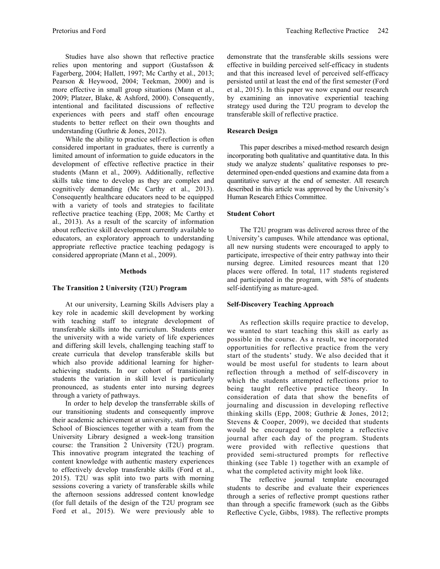Studies have also shown that reflective practice relies upon mentoring and support (Gustafsson & Fagerberg, 2004; Hallett, 1997; Mc Carthy et al., 2013; Pearson & Heywood, 2004; Teekman, 2000) and is more effective in small group situations (Mann et al., 2009; Platzer, Blake, & Ashford, 2000). Consequently, intentional and facilitated discussions of reflective experiences with peers and staff often encourage students to better reflect on their own thoughts and understanding (Guthrie & Jones, 2012).

While the ability to practice self-reflection is often considered important in graduates, there is currently a limited amount of information to guide educators in the development of effective reflective practice in their students (Mann et al., 2009). Additionally, reflective skills take time to develop as they are complex and cognitively demanding (Mc Carthy et al., 2013). Consequently healthcare educators need to be equipped with a variety of tools and strategies to facilitate reflective practice teaching (Epp, 2008; Mc Carthy et al., 2013). As a result of the scarcity of information about reflective skill development currently available to educators, an exploratory approach to understanding appropriate reflective practice teaching pedagogy is considered appropriate (Mann et al., 2009).

#### **Methods**

#### **The Transition 2 University (T2U) Program**

At our university, Learning Skills Advisers play a key role in academic skill development by working with teaching staff to integrate development of transferable skills into the curriculum. Students enter the university with a wide variety of life experiences and differing skill levels, challenging teaching staff to create curricula that develop transferable skills but which also provide additional learning for higherachieving students. In our cohort of transitioning students the variation in skill level is particularly pronounced, as students enter into nursing degrees through a variety of pathways.

In order to help develop the transferrable skills of our transitioning students and consequently improve their academic achievement at university, staff from the School of Biosciences together with a team from the University Library designed a week-long transition course: the Transition 2 University (T2U) program. This innovative program integrated the teaching of content knowledge with authentic mastery experiences to effectively develop transferable skills (Ford et al., 2015). T2U was split into two parts with morning sessions covering a variety of transferable skills while the afternoon sessions addressed content knowledge (for full details of the design of the T2U program see Ford et al., 2015). We were previously able to

demonstrate that the transferable skills sessions were effective in building perceived self-efficacy in students and that this increased level of perceived self-efficacy persisted until at least the end of the first semester (Ford et al., 2015). In this paper we now expand our research by examining an innovative experiential teaching strategy used during the T2U program to develop the transferable skill of reflective practice.

#### **Research Design**

This paper describes a mixed-method research design incorporating both qualitative and quantitative data. In this study we analyze students' qualitative responses to predetermined open-ended questions and examine data from a quantitative survey at the end of semester. All research described in this article was approved by the University's Human Research Ethics Committee.

#### **Student Cohort**

The T2U program was delivered across three of the University's campuses. While attendance was optional, all new nursing students were encouraged to apply to participate, irrespective of their entry pathway into their nursing degree. Limited resources meant that 120 places were offered. In total, 117 students registered and participated in the program, with 58% of students self-identifying as mature-aged.

#### **Self-Discovery Teaching Approach**

As reflection skills require practice to develop, we wanted to start teaching this skill as early as possible in the course. As a result, we incorporated opportunities for reflective practice from the very start of the students' study. We also decided that it would be most useful for students to learn about reflection through a method of self-discovery in which the students attempted reflections prior to being taught reflective practice theory. In consideration of data that show the benefits of journaling and discussion in developing reflective thinking skills (Epp, 2008; Guthrie & Jones, 2012; Stevens & Cooper, 2009), we decided that students would be encouraged to complete a reflective journal after each day of the program. Students were provided with reflective questions that provided semi-structured prompts for reflective thinking (see Table 1) together with an example of what the completed activity might look like.

The reflective journal template encouraged students to describe and evaluate their experiences through a series of reflective prompt questions rather than through a specific framework (such as the Gibbs Reflective Cycle, Gibbs, 1988). The reflective prompts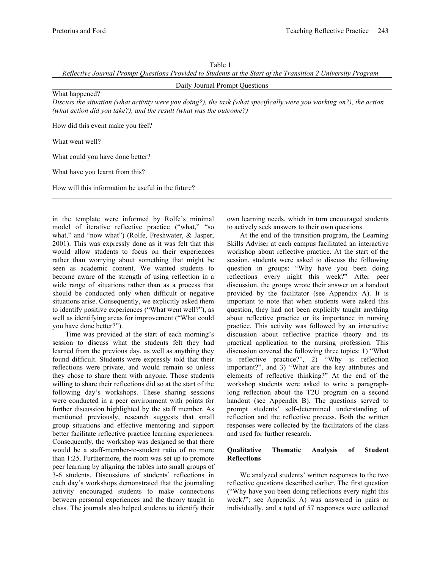*Reflective Journal Prompt Questions Provided to Students at the Start of the Transition 2 University Program*

Daily Journal Prompt Questions

What happened?

*Discuss the situation (what activity were you doing?), the task (what specifically were you working on?), the action (what action did you take?), and the result (what was the outcome?)*

How did this event make you feel?

What went well?

What could you have done better?

What have you learnt from this?

How will this information be useful in the future?

in the template were informed by Rolfe's minimal model of iterative reflective practice ("what," "so what," and "now what") (Rolfe, Freshwater, & Jasper, 2001). This was expressly done as it was felt that this would allow students to focus on their experiences rather than worrying about something that might be seen as academic content. We wanted students to become aware of the strength of using reflection in a wide range of situations rather than as a process that should be conducted only when difficult or negative situations arise. Consequently, we explicitly asked them to identify positive experiences ("What went well?"), as well as identifying areas for improvement ("What could you have done better?").

Time was provided at the start of each morning's session to discuss what the students felt they had learned from the previous day, as well as anything they found difficult. Students were expressly told that their reflections were private, and would remain so unless they chose to share them with anyone. Those students willing to share their reflections did so at the start of the following day's workshops. These sharing sessions were conducted in a peer environment with points for further discussion highlighted by the staff member. As mentioned previously, research suggests that small group situations and effective mentoring and support better facilitate reflective practice learning experiences. Consequently, the workshop was designed so that there would be a staff-member-to-student ratio of no more than 1:25. Furthermore, the room was set up to promote peer learning by aligning the tables into small groups of 3-6 students. Discussions of students' reflections in each day's workshops demonstrated that the journaling activity encouraged students to make connections between personal experiences and the theory taught in class. The journals also helped students to identify their

own learning needs, which in turn encouraged students to actively seek answers to their own questions.

At the end of the transition program, the Learning Skills Adviser at each campus facilitated an interactive workshop about reflective practice. At the start of the session, students were asked to discuss the following question in groups: "Why have you been doing reflections every night this week?" After peer discussion, the groups wrote their answer on a handout provided by the facilitator (see Appendix A). It is important to note that when students were asked this question, they had not been explicitly taught anything about reflective practice or its importance in nursing practice. This activity was followed by an interactive discussion about reflective practice theory and its practical application to the nursing profession. This discussion covered the following three topics: 1) "What is reflective practice?", 2) "Why is reflection important?", and 3) "What are the key attributes and elements of reflective thinking?" At the end of the workshop students were asked to write a paragraphlong reflection about the T2U program on a second handout (see Appendix B). The questions served to prompt students' self-determined understanding of reflection and the reflective process. Both the written responses were collected by the facilitators of the class and used for further research.

#### **Qualitative Thematic Analysis of Student Reflections**

We analyzed students' written responses to the two reflective questions described earlier. The first question ("Why have you been doing reflections every night this week?"; see Appendix A) was answered in pairs or individually, and a total of 57 responses were collected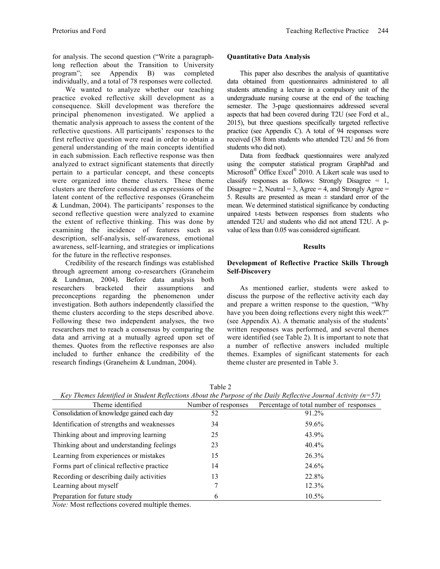for analysis. The second question ("Write a paragraphlong reflection about the Transition to University program"; see Appendix B) was completed individually, and a total of 78 responses were collected.

We wanted to analyze whether our teaching practice evoked reflective skill development as a consequence. Skill development was therefore the principal phenomenon investigated. We applied a thematic analysis approach to assess the content of the reflective questions. All participants' responses to the first reflective question were read in order to obtain a general understanding of the main concepts identified in each submission. Each reflective response was then analyzed to extract significant statements that directly pertain to a particular concept, and these concepts were organized into theme clusters. These theme clusters are therefore considered as expressions of the latent content of the reflective responses (Graneheim & Lundman, 2004). The participants' responses to the second reflective question were analyzed to examine the extent of reflective thinking. This was done by examining the incidence of features such as description, self-analysis, self-awareness, emotional awareness, self-learning, and strategies or implications for the future in the reflective responses.

Credibility of the research findings was established through agreement among co-researchers (Graneheim & Lundman, 2004). Before data analysis both researchers bracketed their assumptions and preconceptions regarding the phenomenon under investigation. Both authors independently classified the theme clusters according to the steps described above. Following these two independent analyses, the two researchers met to reach a consensus by comparing the data and arriving at a mutually agreed upon set of themes. Quotes from the reflective responses are also included to further enhance the credibility of the research findings (Graneheim & Lundman, 2004).

## **Quantitative Data Analysis**

This paper also describes the analysis of quantitative data obtained from questionnaires administered to all students attending a lecture in a compulsory unit of the undergraduate nursing course at the end of the teaching semester. The 3-page questionnaires addressed several aspects that had been covered during T2U (see Ford et al., 2015), but three questions specifically targeted reflective practice (see Appendix C). A total of 94 responses were received (38 from students who attended T2U and 56 from students who did not).

Data from feedback questionnaires were analyzed using the computer statistical program GraphPad and Microsoft® Office Excel® 2010. A Likert scale was used to classify responses as follows: Strongly Disagree  $= 1$ , Disagree = 2, Neutral = 3, Agree = 4, and Strongly Agree = 5. Results are presented as mean  $\pm$  standard error of the mean. We determined statistical significance by conducting unpaired t-tests between responses from students who attended T2U and students who did not attend T2U. A pvalue of less than 0.05 was considered significant.

## **Results**

## **Development of Reflective Practice Skills Through Self-Discovery**

As mentioned earlier, students were asked to discuss the purpose of the reflective activity each day and prepare a written response to the question, "Why have you been doing reflections every night this week?" (see Appendix A). A thematic analysis of the students' written responses was performed, and several themes were identified (see Table 2). It is important to note that a number of reflective answers included multiple themes. Examples of significant statements for each theme cluster are presented in Table 3.

| L |  |
|---|--|
| × |  |

| Key Themes Identified in Student Reflections About the Purpose of the Daily Reflective Journal Activity ( $n=57$ ) |                     |                                         |  |  |  |
|--------------------------------------------------------------------------------------------------------------------|---------------------|-----------------------------------------|--|--|--|
| Theme identified                                                                                                   | Number of responses | Percentage of total number of responses |  |  |  |
| Consolidation of knowledge gained each day                                                                         | 52                  | 91.2%                                   |  |  |  |
| Identification of strengths and weaknesses                                                                         | 34                  | 59.6%                                   |  |  |  |
| Thinking about and improving learning                                                                              | 25                  | 43.9%                                   |  |  |  |
| Thinking about and understanding feelings                                                                          | 23                  | 40.4%                                   |  |  |  |
| Learning from experiences or mistakes                                                                              | 15                  | 26.3%                                   |  |  |  |
| Forms part of clinical reflective practice                                                                         | 14                  | 24.6%                                   |  |  |  |
| Recording or describing daily activities                                                                           | 13                  | 22.8%                                   |  |  |  |
| Learning about myself                                                                                              |                     | 12.3%                                   |  |  |  |
| Preparation for future study                                                                                       | 6                   | $10.5\%$                                |  |  |  |

*Note:* Most reflections covered multiple themes.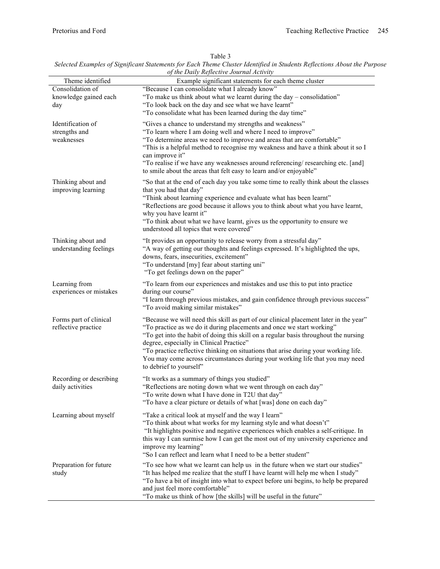|                                                  | belettu Daampies of bignificant biatements for Daen Theme Chaster Iaentifica in biaachis Iceficetions Hoodi inc I<br>of the Daily Reflective Journal Activity                                                                                                                                                                                                                                                                                                                                        |
|--------------------------------------------------|------------------------------------------------------------------------------------------------------------------------------------------------------------------------------------------------------------------------------------------------------------------------------------------------------------------------------------------------------------------------------------------------------------------------------------------------------------------------------------------------------|
| Theme identified                                 | Example significant statements for each theme cluster                                                                                                                                                                                                                                                                                                                                                                                                                                                |
| Consolidation of<br>knowledge gained each<br>day | "Because I can consolidate what I already know"<br>"To make us think about what we learnt during the day - consolidation"<br>"To look back on the day and see what we have learnt"<br>"To consolidate what has been learned during the day time"                                                                                                                                                                                                                                                     |
| Identification of<br>strengths and<br>weaknesses | "Gives a chance to understand my strengths and weakness"<br>"To learn where I am doing well and where I need to improve"<br>"To determine areas we need to improve and areas that are comfortable"<br>"This is a helpful method to recognise my weakness and have a think about it so I<br>can improve it"<br>"To realise if we have any weaknesses around referencing/ researching etc. [and]<br>to smile about the areas that felt easy to learn and/or enjoyable"                                 |
| Thinking about and<br>improving learning         | "So that at the end of each day you take some time to really think about the classes<br>that you had that day"<br>"Think about learning experience and evaluate what has been learnt"<br>"Reflections are good because it allows you to think about what you have learnt,<br>why you have learnt it"<br>"To think about what we have learnt, gives us the opportunity to ensure we<br>understood all topics that were covered"                                                                       |
| Thinking about and<br>understanding feelings     | "It provides an opportunity to release worry from a stressful day"<br>"A way of getting our thoughts and feelings expressed. It's highlighted the ups,<br>downs, fears, insecurities, excitement"<br>"To understand [my] fear about starting uni"<br>"To get feelings down on the paper"                                                                                                                                                                                                             |
| Learning from<br>experiences or mistakes         | "To learn from our experiences and mistakes and use this to put into practice<br>during our course"<br>"I learn through previous mistakes, and gain confidence through previous success"<br>"To avoid making similar mistakes"                                                                                                                                                                                                                                                                       |
| Forms part of clinical<br>reflective practice    | "Because we will need this skill as part of our clinical placement later in the year"<br>"To practice as we do it during placements and once we start working"<br>"To get into the habit of doing this skill on a regular basis throughout the nursing<br>degree, especially in Clinical Practice"<br>"To practice reflective thinking on situations that arise during your working life.<br>You may come across circumstances during your working life that you may need<br>to debrief to yourself" |
| Recording or describing<br>daily activities      | "It works as a summary of things you studied"<br>"Reflections are noting down what we went through on each day"<br>"To write down what I have done in T2U that day"<br>"To have a clear picture or details of what [was] done on each day"                                                                                                                                                                                                                                                           |
| Learning about myself                            | "Take a critical look at myself and the way I learn"<br>"To think about what works for my learning style and what doesn't"<br>"It highlights positive and negative experiences which enables a self-critique. In<br>this way I can surmise how I can get the most out of my university experience and<br>improve my learning"<br>"So I can reflect and learn what I need to be a better student"                                                                                                     |
| Preparation for future<br>study                  | "To see how what we learnt can help us in the future when we start our studies"<br>"It has helped me realize that the stuff I have learnt will help me when I study"<br>"To have a bit of insight into what to expect before uni begins, to help be prepared<br>and just feel more comfortable"<br>"To make us think of how [the skills] will be useful in the future"                                                                                                                               |

Table 3

*Selected Examples of Significant Statements for Each Theme Cluster Identified in Students Reflections About the Purpose*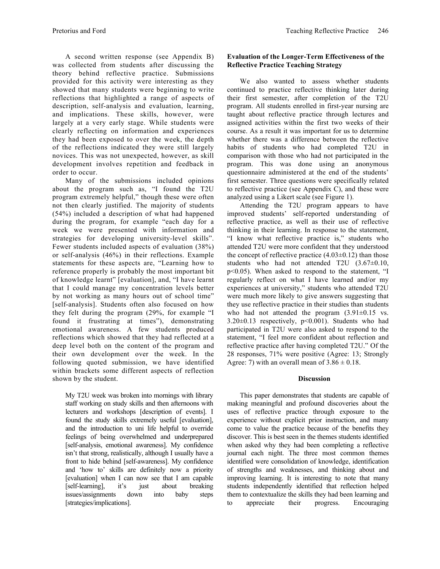A second written response (see Appendix B) was collected from students after discussing the theory behind reflective practice. Submissions provided for this activity were interesting as they showed that many students were beginning to write reflections that highlighted a range of aspects of description, self-analysis and evaluation, learning, and implications. These skills, however, were largely at a very early stage. While students were clearly reflecting on information and experiences they had been exposed to over the week, the depth of the reflections indicated they were still largely novices. This was not unexpected, however, as skill development involves repetition and feedback in order to occur.

Many of the submissions included opinions about the program such as, "I found the T2U program extremely helpful," though these were often not then clearly justified. The majority of students (54%) included a description of what had happened during the program, for example "each day for a week we were presented with information and strategies for developing university-level skills". Fewer students included aspects of evaluation (38%) or self-analysis (46%) in their reflections. Example statements for these aspects are, "Learning how to reference properly is probably the most important bit of knowledge learnt" [evaluation], and, "I have learnt that I could manage my concentration levels better by not working as many hours out of school time" [self-analysis]. Students often also focused on how they felt during the program (29%, for example "I found it frustrating at times"), demonstrating emotional awareness. A few students produced reflections which showed that they had reflected at a deep level both on the content of the program and their own development over the week. In the following quoted submission, we have identified within brackets some different aspects of reflection shown by the student.

My T2U week was broken into mornings with library staff working on study skills and then afternoons with lecturers and workshops [description of events]. I found the study skills extremely useful [evaluation], and the introduction to uni life helpful to override feelings of being overwhelmed and underprepared [self-analysis, emotional awareness]. My confidence isn't that strong, realistically, although I usually have a front to hide behind [self-awareness]. My confidence and 'how to' skills are definitely now a priority [evaluation] when I can now see that I am capable [self-learning], it's just about breaking issues/assignments down into baby steps [strategies/implications].

# **Evaluation of the Longer-Term Effectiveness of the Reflective Practice Teaching Strategy**

We also wanted to assess whether students continued to practice reflective thinking later during their first semester, after completion of the T2U program. All students enrolled in first-year nursing are taught about reflective practice through lectures and assigned activities within the first two weeks of their course. As a result it was important for us to determine whether there was a difference between the reflective habits of students who had completed T2U in comparison with those who had not participated in the program. This was done using an anonymous questionnaire administered at the end of the students' first semester. Three questions were specifically related to reflective practice (see Appendix C), and these were analyzed using a Likert scale (see Figure 1).

Attending the T2U program appears to have improved students' self-reported understanding of reflective practice, as well as their use of reflective thinking in their learning. In response to the statement, "I know what reflective practice is," students who attended T2U were more confident that they understood the concept of reflective practice  $(4.03\pm0.12)$  than those students who had not attended T2U (3.67±0.10, p<0.05). When asked to respond to the statement, "I regularly reflect on what I have learned and/or my experiences at university," students who attended T2U were much more likely to give answers suggesting that they use reflective practice in their studies than students who had not attended the program  $(3.91\pm0.15 \text{ vs.}$ 3.20±0.13 respectively, p<0.001). Students who had participated in T2U were also asked to respond to the statement, "I feel more confident about reflection and reflective practice after having completed T2U." Of the 28 responses, 71% were positive (Agree: 13; Strongly Agree: 7) with an overall mean of  $3.86 \pm 0.18$ .

## **Discussion**

This paper demonstrates that students are capable of making meaningful and profound discoveries about the uses of reflective practice through exposure to the experience without explicit prior instruction, and many come to value the practice because of the benefits they discover. This is best seen in the themes students identified when asked why they had been completing a reflective journal each night. The three most common themes identified were consolidation of knowledge, identification of strengths and weaknesses, and thinking about and improving learning. It is interesting to note that many students independently identified that reflection helped them to contextualize the skills they had been learning and to appreciate their progress. Encouraging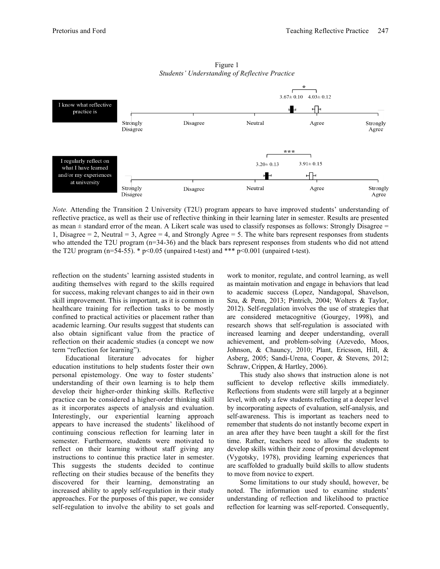

Figure 1 *Students' Understanding of Reflective Practice*

*Note.* Attending the Transition 2 University (T2U) program appears to have improved students' understanding of reflective practice, as well as their use of reflective thinking in their learning later in semester. Results are presented as mean  $\pm$  standard error of the mean. A Likert scale was used to classify responses as follows: Strongly Disagree  $=$ 1, Disagree  $= 2$ , Neutral  $= 3$ , Agree  $= 4$ , and Strongly Agree  $= 5$ . The white bars represent responses from students who attended the T2U program (n=34-36) and the black bars represent responses from students who did not attend the T2U program (n=54-55). \*  $p<0.05$  (unpaired t-test) and \*\*\*  $p<0.001$  (unpaired t-test).

reflection on the students' learning assisted students in auditing themselves with regard to the skills required for success, making relevant changes to aid in their own skill improvement. This is important, as it is common in healthcare training for reflection tasks to be mostly confined to practical activities or placement rather than academic learning. Our results suggest that students can also obtain significant value from the practice of reflection on their academic studies (a concept we now term "reflection for learning").

Educational literature advocates for higher education institutions to help students foster their own personal epistemology. One way to foster students' understanding of their own learning is to help them develop their higher-order thinking skills. Reflective practice can be considered a higher-order thinking skill as it incorporates aspects of analysis and evaluation. Interestingly, our experiential learning approach appears to have increased the students' likelihood of continuing conscious reflection for learning later in semester. Furthermore, students were motivated to reflect on their learning without staff giving any instructions to continue this practice later in semester. This suggests the students decided to continue reflecting on their studies because of the benefits they discovered for their learning, demonstrating an increased ability to apply self-regulation in their study approaches. For the purposes of this paper, we consider self-regulation to involve the ability to set goals and

work to monitor, regulate, and control learning, as well as maintain motivation and engage in behaviors that lead to academic success (Lopez, Nandagopal, Shavelson, Szu, & Penn, 2013; Pintrich, 2004; Wolters & Taylor, 2012). Self-regulation involves the use of strategies that are considered metacognitive (Gourgey, 1998), and research shows that self-regulation is associated with increased learning and deeper understanding, overall achievement, and problem-solving (Azevedo, Moos, Johnson, & Chauncy, 2010; Plant, Ericsson, Hill, & Asberg, 2005; Sandi-Urena, Cooper, & Stevens, 2012; Schraw, Crippen, & Hartley, 2006).

This study also shows that instruction alone is not sufficient to develop reflective skills immediately. Reflections from students were still largely at a beginner level, with only a few students reflecting at a deeper level by incorporating aspects of evaluation, self-analysis, and self-awareness. This is important as teachers need to remember that students do not instantly become expert in an area after they have been taught a skill for the first time. Rather, teachers need to allow the students to develop skills within their zone of proximal development (Vygotsky, 1978), providing learning experiences that are scaffolded to gradually build skills to allow students to move from novice to expert.

Some limitations to our study should, however, be noted. The information used to examine students' understanding of reflection and likelihood to practice reflection for learning was self-reported. Consequently,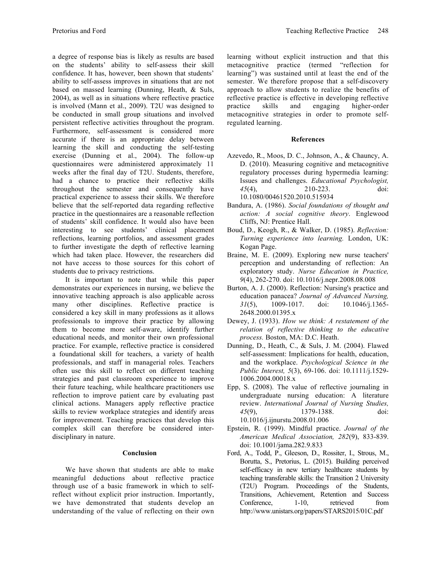a degree of response bias is likely as results are based on the students' ability to self-assess their skill confidence. It has, however, been shown that students' ability to self-assess improves in situations that are not based on massed learning (Dunning, Heath, & Suls, 2004), as well as in situations where reflective practice is involved (Mann et al., 2009). T2U was designed to be conducted in small group situations and involved persistent reflective activities throughout the program. Furthermore, self-assessment is considered more accurate if there is an appropriate delay between learning the skill and conducting the self-testing exercise (Dunning et al., 2004). The follow-up questionnaires were administered approximately 11 weeks after the final day of T2U. Students, therefore, had a chance to practice their reflective skills throughout the semester and consequently have practical experience to assess their skills. We therefore believe that the self-reported data regarding reflective practice in the questionnaires are a reasonable reflection of students' skill confidence. It would also have been interesting to see students' clinical placement reflections, learning portfolios, and assessment grades to further investigate the depth of reflective learning which had taken place. However, the researchers did not have access to those sources for this cohort of students due to privacy restrictions.

It is important to note that while this paper demonstrates our experiences in nursing, we believe the innovative teaching approach is also applicable across many other disciplines. Reflective practice is considered a key skill in many professions as it allows professionals to improve their practice by allowing them to become more self-aware, identify further educational needs, and monitor their own professional practice. For example, reflective practice is considered a foundational skill for teachers, a variety of health professionals, and staff in managerial roles. Teachers often use this skill to reflect on different teaching strategies and past classroom experience to improve their future teaching, while healthcare practitioners use reflection to improve patient care by evaluating past clinical actions. Managers apply reflective practice skills to review workplace strategies and identify areas for improvement. Teaching practices that develop this complex skill can therefore be considered interdisciplinary in nature.

## **Conclusion**

We have shown that students are able to make meaningful deductions about reflective practice through use of a basic framework in which to selfreflect without explicit prior instruction. Importantly, we have demonstrated that students develop an understanding of the value of reflecting on their own learning without explicit instruction and that this metacognitive practice (termed "reflection for learning") was sustained until at least the end of the semester. We therefore propose that a self-discovery approach to allow students to realize the benefits of reflective practice is effective in developing reflective practice skills and engaging higher-order metacognitive strategies in order to promote selfregulated learning.

#### **References**

- Azevedo, R., Moos, D. C., Johnson, A., & Chauncy, A. D. (2010). Measuring cognitive and metacognitive regulatory processes during hypermedia learning: Issues and challenges. *Educational Psychologist, 45*(4), 210-223. doi: 10.1080/00461520.2010.515934
- Bandura, A. (1986). *Social foundations of thought and action: A social cognitive theory*. Englewood Cliffs, NJ: Prentice Hall.
- Boud, D., Keogh, R., & Walker, D. (1985). *Reflection: Turning experience into learning.* London, UK: Kogan Page.
- Braine, M. E. (2009). Exploring new nurse teachers' perception and understanding of reflection: An exploratory study. *Nurse Education in Practice, 9*(4), 262-270. doi: 10.1016/j.nepr.2008.08.008
- Burton, A. J. (2000). Reflection: Nursing's practice and education panacea? *Journal of Advanced Nursing, 31*(5), 1009-1017. doi: 10.1046/j.1365- 2648.2000.01395.x
- Dewey, J. (1933). *How we think: A restatement of the relation of reflective thinking to the educative process.* Boston, MA: D.C. Heath.
- Dunning, D., Heath, C., & Suls, J. M. (2004). Flawed self-assessment: Implications for health, education, and the workplace. *Psychological Science in the Public Interest, 5*(3), 69-106. doi: 10.1111/j.1529- 1006.2004.00018.x
- Epp, S. (2008). The value of reflective journaling in undergraduate nursing education: A literature review. *International Journal of Nursing Studies, 45*(9), 1379-1388. doi: 10.1016/j.ijnurstu.2008.01.006
- Epstein, R. (1999). Mindful practice. *Journal of the American Medical Association, 282*(9), 833-839. doi: 10.1001/jama.282.9.833
- Ford, A., Todd, P., Gleeson, D., Rossiter, I., Strous, M., Borutta, S., Pretorius, L. (2015). Building perceived self-efficacy in new tertiary healthcare students by teaching transferable skills: the Transition 2 University (T2U) Program. Proceedings of the Students, Transitions, Achievement, Retention and Success Conference, 1-10, retrieved from http://www.unistars.org/papers/STARS2015/01C.pdf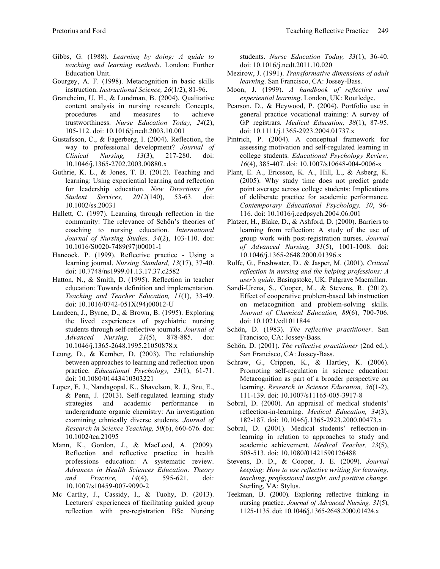- Gibbs, G. (1988). *Learning by doing: A guide to teaching and learning methods*. London: Further Education Unit.
- Gourgey, A. F. (1998). Metacognition in basic skills instruction. *Instructional Science, 26*(1/2), 81-96.
- Graneheim, U. H., & Lundman, B. (2004). Qualitative content analysis in nursing research: Concepts, procedures and measures to achieve trustworthiness. *Nurse Education Today, 24*(2), 105-112. doi: 10.1016/j.nedt.2003.10.001
- Gustafsson, C., & Fagerberg, I. (2004). Reflection, the way to professional development? *Journal of Clinical Nursing, 13*(3), 217-280. doi: 10.1046/j.1365-2702.2003.00880.x
- Guthrie, K. L., & Jones, T. B. (2012). Teaching and learning: Using experiential learning and reflection for leadership education. *New Directions for Student Services, 2012*(140), 53-63. doi: 10.1002/ss.20031
- Hallett, C. (1997). Learning through reflection in the community: The relevance of Schön's theories of coaching to nursing education. *International Journal of Nursing Studies, 34*(2), 103-110. doi: 10.1016/S0020-7489(97)00001-1
- Hancock, P. (1999). Reflective practice Using a learning journal. *Nursing Standard, 13*(17), 37-40. doi: 10.7748/ns1999.01.13.17.37.c2582
- Hatton, N., & Smith, D. (1995). Reflection in teacher education: Towards definition and implementation. *Teaching and Teacher Education, 11*(1), 33-49. doi: 10.1016/0742-051X(94)00012-U
- Landeen, J., Byrne, D., & Brown, B. (1995). Exploring the lived experiences of psychiatric nursing students through self-reflective journals. *Journal of Advanced Nursing, 21*(5), 878-885. doi: 10.1046/j.1365-2648.1995.21050878.x
- Leung, D., & Kember, D. (2003). The relationship between approaches to learning and reflection upon practice. *Educational Psychology, 23*(1), 61-71. doi: 10.1080/01443410303221
- Lopez, E. J., Nandagopal, K., Shavelson, R. J., Szu, E., & Penn, J. (2013). Self-regulated learning study strategies and academic performance in undergraduate organic chemistry: An investigation examining ethnically diverse students. *Journal of Research in Science Teaching, 50*(6), 660-676. doi: 10.1002/tea.21095
- Mann, K., Gordon, J., & MacLeod, A. (2009). Reflection and reflective practice in health professions education: A systematic review. *Advances in Health Sciences Education: Theory and Practice, 14*(4), 595-621. doi: 10.1007/s10459-007-9090-2
- Mc Carthy, J., Cassidy, I., & Tuohy, D. (2013). Lecturers' experiences of facilitating guided group reflection with pre-registration BSc Nursing

students. *Nurse Education Today, 33*(1), 36-40. doi: 10.1016/j.nedt.2011.10.020

- Mezirow, J. (1991). *Transformative dimensions of adult learning*. San Francisco, CA: Jossey-Bass.
- Moon, J. (1999). *A handbook of reflective and experiential learning*. London, UK: Routledge.
- Pearson, D., & Heywood, P. (2004). Portfolio use in general practice vocational training: A survey of GP registrars. *Medical Education, 38*(1), 87-95. doi: 10.1111/j.1365-2923.2004.01737.x
- Pintrich, P. (2004). A conceptual framework for assessing motivation and self-regulated learning in college students. *Educational Psychology Review, 16*(4), 385-407. doi: 10.1007/s10648-004-0006-x
- Plant, E. A., Ericsson, K. A., Hill, L., & Asberg, K. (2005). Why study time does not predict grade point average across college students: Implications of deliberate practice for academic performance. *Contemporary Educational Psychology, 30*, 96- 116. doi: 10.1016/j.cedpsych.2004.06.001
- Platzer, H., Blake, D., & Ashford, D. (2000). Barriers to learning from reflection: A study of the use of group work with post-registration nurses. *Journal of Advanced Nursing, 31*(5), 1001-1008. doi: 10.1046/j.1365-2648.2000.01396.x
- Rolfe, G., Freshwater, D., & Jasper, M. (2001). *Critical reflection in nursing and the helping professions: A user's guide*. Basingstoke, UK: Palgrave Macmillan.
- Sandi-Urena, S., Cooper, M., & Stevens, R. (2012). Effect of cooperative problem-based lab instruction on metacognition and problem-solving skills. *Journal of Chemical Education, 89*(6), 700-706. doi: 10.1021/ed1011844
- Schön, D. (1983). *The reflective practitioner*. San Francisco, CA: Jossey-Bass.
- Schön, D. (2001). *The reflective practitioner* (2nd ed.). San Francisco, CA: Jossey-Bass.
- Schraw, G., Crippen, K., & Hartley, K. (2006). Promoting self-regulation in science education: Metacognition as part of a broader perspective on learning. *Research in Science Education, 36*(1-2), 111-139. doi: 10.1007/s11165-005-3917-8
- Sobral, D. (2000). An appraisal of medical students' reflection-in-learning. *Medical Education, 34*(3), 182-187. doi: 10.1046/j.1365-2923.2000.00473.x
- Sobral, D. (2001). Medical students' reflection-inlearning in relation to approaches to study and academic achievement. *Medical Teacher, 23*(5), 508-513. doi: 10.1080/01421590126488
- Stevens, D. D., & Cooper, J. E. (2009). *Journal keeping: How to use reflective writing for learning, teaching, professional insight, and positive change*. Sterling, VA: Stylus.
- Teekman, B. (2000). Exploring reflective thinking in nursing practice. *Journal of Advanced Nursing, 31*(5), 1125-1135. doi: 10.1046/j.1365-2648.2000.01424.x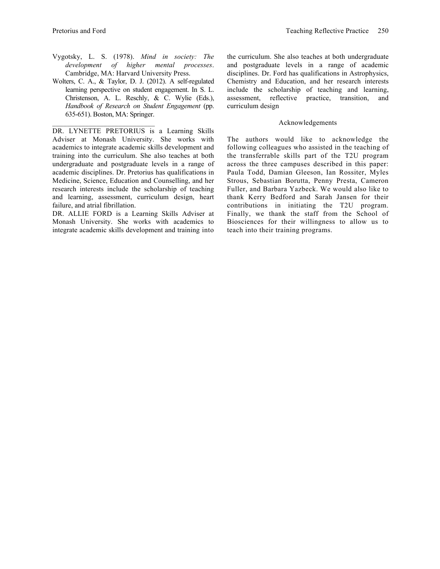- Vygotsky, L. S. (1978). *Mind in society: The development of higher mental processes*. Cambridge, MA: Harvard University Press.
- Wolters, C. A., & Taylor, D. J. (2012). A self-regulated learning perspective on student engagement. In S. L. Christenson, A. L. Reschly, & C. Wylie (Eds.), *Handbook of Research on Student Engagement* (pp. 635-651). Boston, MA: Springer.

 $\mathcal{L}_\text{max}$  , and the set of the set of the set of the set of the set of the set of the set of the set of the set of the set of the set of the set of the set of the set of the set of the set of the set of the set of the

DR. LYNETTE PRETORIUS is a Learning Skills Adviser at Monash University. She works with academics to integrate academic skills development and training into the curriculum. She also teaches at both undergraduate and postgraduate levels in a range of academic disciplines. Dr. Pretorius has qualifications in Medicine, Science, Education and Counselling, and her research interests include the scholarship of teaching and learning, assessment, curriculum design, heart failure, and atrial fibrillation.

DR. ALLIE FORD is a Learning Skills Adviser at Monash University. She works with academics to integrate academic skills development and training into the curriculum. She also teaches at both undergraduate and postgraduate levels in a range of academic disciplines. Dr. Ford has qualifications in Astrophysics, Chemistry and Education, and her research interests include the scholarship of teaching and learning, assessment, reflective practice, transition, and curriculum design

#### Acknowledgements

The authors would like to acknowledge the following colleagues who assisted in the teaching of the transferrable skills part of the T2U program across the three campuses described in this paper: Paula Todd, Damian Gleeson, Ian Rossiter, Myles Strous, Sebastian Borutta, Penny Presta, Cameron Fuller, and Barbara Yazbeck. We would also like to thank Kerry Bedford and Sarah Jansen for their contributions in initiating the T2U program. Finally, we thank the staff from the School of Biosciences for their willingness to allow us to teach into their training programs.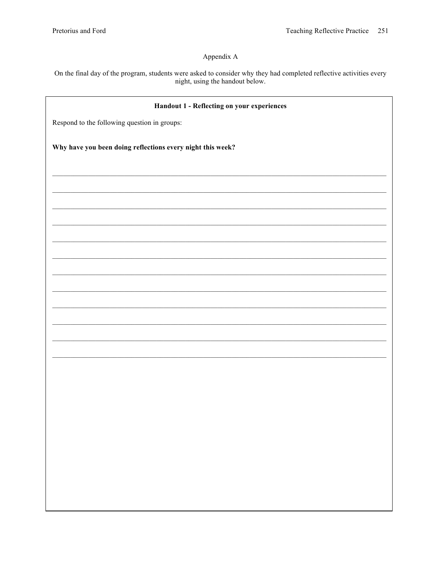# Appendix A

On the final day of the program, students were asked to consider why they had completed reflective activities every night, using the handout below.

| Handout 1 - Reflecting on your experiences                 |  |  |  |  |
|------------------------------------------------------------|--|--|--|--|
| Respond to the following question in groups:               |  |  |  |  |
| Why have you been doing reflections every night this week? |  |  |  |  |
|                                                            |  |  |  |  |
|                                                            |  |  |  |  |
|                                                            |  |  |  |  |
|                                                            |  |  |  |  |
|                                                            |  |  |  |  |
|                                                            |  |  |  |  |
|                                                            |  |  |  |  |
|                                                            |  |  |  |  |
|                                                            |  |  |  |  |
|                                                            |  |  |  |  |
|                                                            |  |  |  |  |
|                                                            |  |  |  |  |
|                                                            |  |  |  |  |
|                                                            |  |  |  |  |
|                                                            |  |  |  |  |
|                                                            |  |  |  |  |
|                                                            |  |  |  |  |
|                                                            |  |  |  |  |
|                                                            |  |  |  |  |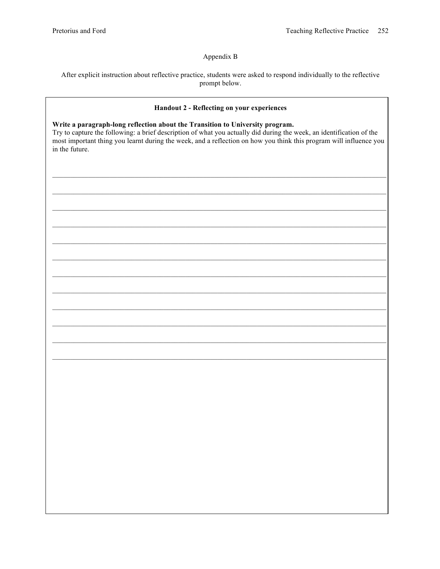# Appendix B

After explicit instruction about reflective practice, students were asked to respond individually to the reflective prompt below.

## Handout 2 - Reflecting on your experiences

#### Write a paragraph-long reflection about the Transition to University program.

Try to capture the following: a brief description of what you actually did during the week, an identification of the most important thing you learnt during the week, and a reflection on how you think this program will influence you in the future.